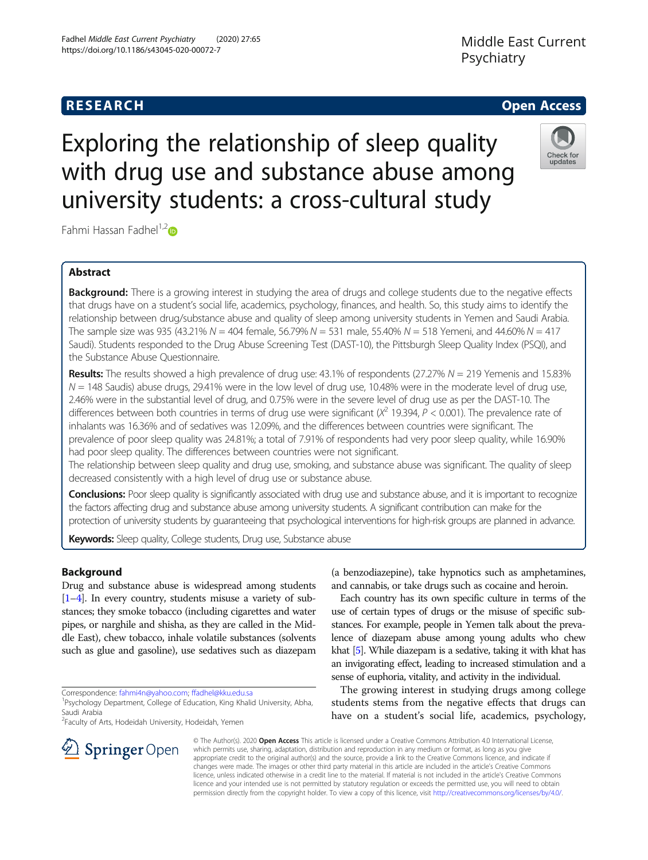# **RESEARCH CHE Open Access**

# Middle East Current Psychiatry

# Exploring the relationship of sleep quality with drug use and substance abuse among university students: a cross-cultural study



Fahmi Hassan Fadhel<sup>1,[2](http://orcid.org/0000-0002-4497-7628)</sup> $\bullet$ 

#### Abstract

Background: There is a growing interest in studying the area of drugs and college students due to the negative effects that drugs have on a student's social life, academics, psychology, finances, and health. So, this study aims to identify the relationship between drug/substance abuse and quality of sleep among university students in Yemen and Saudi Arabia. The sample size was 935 (43.21% N = 404 female, 56.79% N = 531 male, 55.40% N = 518 Yemeni, and 44.60% N = 417 Saudi). Students responded to the Drug Abuse Screening Test (DAST-10), the Pittsburgh Sleep Quality Index (PSQI), and the Substance Abuse Questionnaire.

Results: The results showed a high prevalence of drug use: 43.1% of respondents (27.27% N = 219 Yemenis and 15.83%  $N = 148$  Saudis) abuse drugs, 29.41% were in the low level of drug use, 10.48% were in the moderate level of drug use, 2.46% were in the substantial level of drug, and 0.75% were in the severe level of drug use as per the DAST-10. The differences between both countries in terms of drug use were significant ( $X^2$  19.394,  $P < 0.001$ ). The prevalence rate of inhalants was 16.36% and of sedatives was 12.09%, and the differences between countries were significant. The prevalence of poor sleep quality was 24.81%; a total of 7.91% of respondents had very poor sleep quality, while 16.90% had poor sleep quality. The differences between countries were not significant.

The relationship between sleep quality and drug use, smoking, and substance abuse was significant. The quality of sleep decreased consistently with a high level of drug use or substance abuse.

Conclusions: Poor sleep quality is significantly associated with drug use and substance abuse, and it is important to recognize the factors affecting drug and substance abuse among university students. A significant contribution can make for the protection of university students by guaranteeing that psychological interventions for high-risk groups are planned in advance.

Keywords: Sleep quality, College students, Drug use, Substance abuse

#### Background

Drug and substance abuse is widespread among students [[1](#page-7-0)–[4\]](#page-7-0). In every country, students misuse a variety of substances; they smoke tobacco (including cigarettes and water pipes, or narghile and shisha, as they are called in the Middle East), chew tobacco, inhale volatile substances (solvents such as glue and gasoline), use sedatives such as diazepam

Correspondence: [fahmi4n@yahoo.com;](mailto:fahmi4n@yahoo.com) [ffadhel@kku.edu.sa](mailto:ffadhel@kku.edu.sa) <sup>1</sup>

<sup>2</sup>Faculty of Arts, Hodeidah University, Hodeidah, Yemen

(a benzodiazepine), take hypnotics such as amphetamines, and cannabis, or take drugs such as cocaine and heroin.

Each country has its own specific culture in terms of the use of certain types of drugs or the misuse of specific substances. For example, people in Yemen talk about the prevalence of diazepam abuse among young adults who chew khat [\[5](#page-7-0)]. While diazepam is a sedative, taking it with khat has an invigorating effect, leading to increased stimulation and a sense of euphoria, vitality, and activity in the individual.

The growing interest in studying drugs among college students stems from the negative effects that drugs can have on a student's social life, academics, psychology,

© The Author(s). 2020 Open Access This article is licensed under a Creative Commons Attribution 4.0 International License, which permits use, sharing, adaptation, distribution and reproduction in any medium or format, as long as you give appropriate credit to the original author(s) and the source, provide a link to the Creative Commons licence, and indicate if changes were made. The images or other third party material in this article are included in the article's Creative Commons licence, unless indicated otherwise in a credit line to the material. If material is not included in the article's Creative Commons licence and your intended use is not permitted by statutory regulation or exceeds the permitted use, you will need to obtain permission directly from the copyright holder. To view a copy of this licence, visit <http://creativecommons.org/licenses/by/4.0/>.



<sup>&</sup>lt;sup>1</sup>Psychology Department, College of Education, King Khalid University, Abha, Saudi Arabia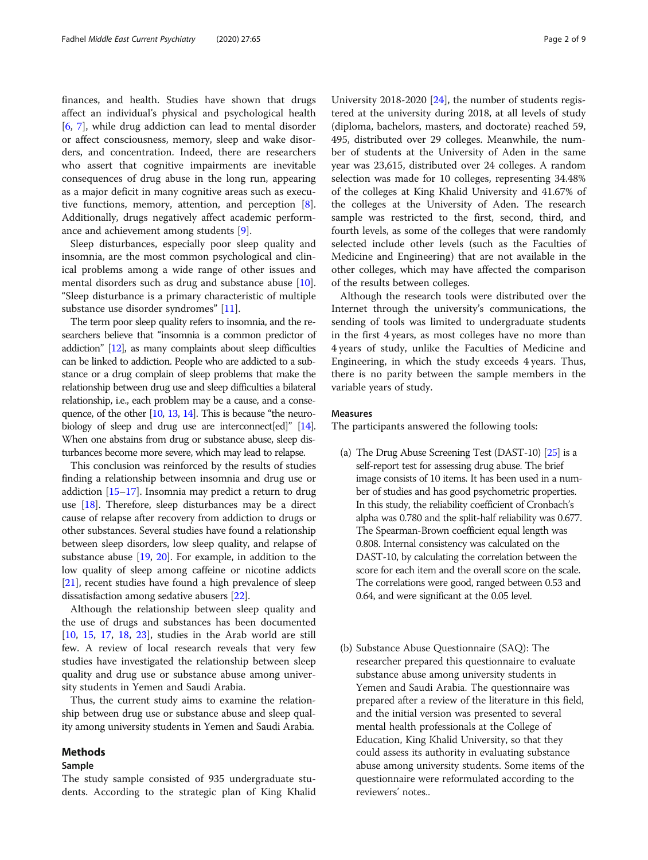finances, and health. Studies have shown that drugs affect an individual's physical and psychological health [[6,](#page-7-0) [7\]](#page-7-0), while drug addiction can lead to mental disorder or affect consciousness, memory, sleep and wake disorders, and concentration. Indeed, there are researchers who assert that cognitive impairments are inevitable consequences of drug abuse in the long run, appearing as a major deficit in many cognitive areas such as executive functions, memory, attention, and perception [\[8](#page-7-0)]. Additionally, drugs negatively affect academic performance and achievement among students [\[9](#page-7-0)].

Sleep disturbances, especially poor sleep quality and insomnia, are the most common psychological and clinical problems among a wide range of other issues and mental disorders such as drug and substance abuse [\[10](#page-7-0)]. "Sleep disturbance is a primary characteristic of multiple substance use disorder syndromes" [\[11\]](#page-7-0).

The term poor sleep quality refers to insomnia, and the researchers believe that "insomnia is a common predictor of addiction" [\[12\]](#page-7-0), as many complaints about sleep difficulties can be linked to addiction. People who are addicted to a substance or a drug complain of sleep problems that make the relationship between drug use and sleep difficulties a bilateral relationship, i.e., each problem may be a cause, and a conse-quence, of the other [\[10](#page-7-0), [13](#page-7-0), [14](#page-7-0)]. This is because "the neuro-biology of sleep and drug use are interconnect[ed]" [\[14\]](#page-7-0). When one abstains from drug or substance abuse, sleep disturbances become more severe, which may lead to relapse.

This conclusion was reinforced by the results of studies finding a relationship between insomnia and drug use or addiction [\[15](#page-7-0)–[17](#page-7-0)]. Insomnia may predict a return to drug use [[18](#page-7-0)]. Therefore, sleep disturbances may be a direct cause of relapse after recovery from addiction to drugs or other substances. Several studies have found a relationship between sleep disorders, low sleep quality, and relapse of substance abuse [\[19](#page-7-0), [20](#page-7-0)]. For example, in addition to the low quality of sleep among caffeine or nicotine addicts [[21](#page-7-0)], recent studies have found a high prevalence of sleep dissatisfaction among sedative abusers [\[22\]](#page-7-0).

Although the relationship between sleep quality and the use of drugs and substances has been documented [[10,](#page-7-0) [15](#page-7-0), [17](#page-7-0), [18,](#page-7-0) [23\]](#page-7-0), studies in the Arab world are still few. A review of local research reveals that very few studies have investigated the relationship between sleep quality and drug use or substance abuse among university students in Yemen and Saudi Arabia.

Thus, the current study aims to examine the relationship between drug use or substance abuse and sleep quality among university students in Yemen and Saudi Arabia.

#### Methods

#### Sample

The study sample consisted of 935 undergraduate students. According to the strategic plan of King Khalid

University 2018-2020 [\[24](#page-7-0)], the number of students registered at the university during 2018, at all levels of study (diploma, bachelors, masters, and doctorate) reached 59, 495, distributed over 29 colleges. Meanwhile, the number of students at the University of Aden in the same year was 23,615, distributed over 24 colleges. A random selection was made for 10 colleges, representing 34.48% of the colleges at King Khalid University and 41.67% of the colleges at the University of Aden. The research sample was restricted to the first, second, third, and fourth levels, as some of the colleges that were randomly selected include other levels (such as the Faculties of Medicine and Engineering) that are not available in the other colleges, which may have affected the comparison of the results between colleges.

Although the research tools were distributed over the Internet through the university's communications, the sending of tools was limited to undergraduate students in the first 4 years, as most colleges have no more than 4 years of study, unlike the Faculties of Medicine and Engineering, in which the study exceeds 4 years. Thus, there is no parity between the sample members in the variable years of study.

#### Measures

The participants answered the following tools:

- (a) The Drug Abuse Screening Test (DAST-10) [\[25](#page-7-0)] is a self-report test for assessing drug abuse. The brief image consists of 10 items. It has been used in a number of studies and has good psychometric properties. In this study, the reliability coefficient of Cronbach's alpha was 0.780 and the split-half reliability was 0.677. The Spearman-Brown coefficient equal length was 0.808. Internal consistency was calculated on the DAST-10, by calculating the correlation between the score for each item and the overall score on the scale. The correlations were good, ranged between 0.53 and 0.64, and were significant at the 0.05 level.
- (b) Substance Abuse Questionnaire (SAQ): The researcher prepared this questionnaire to evaluate substance abuse among university students in Yemen and Saudi Arabia. The questionnaire was prepared after a review of the literature in this field, and the initial version was presented to several mental health professionals at the College of Education, King Khalid University, so that they could assess its authority in evaluating substance abuse among university students. Some items of the questionnaire were reformulated according to the reviewers' notes..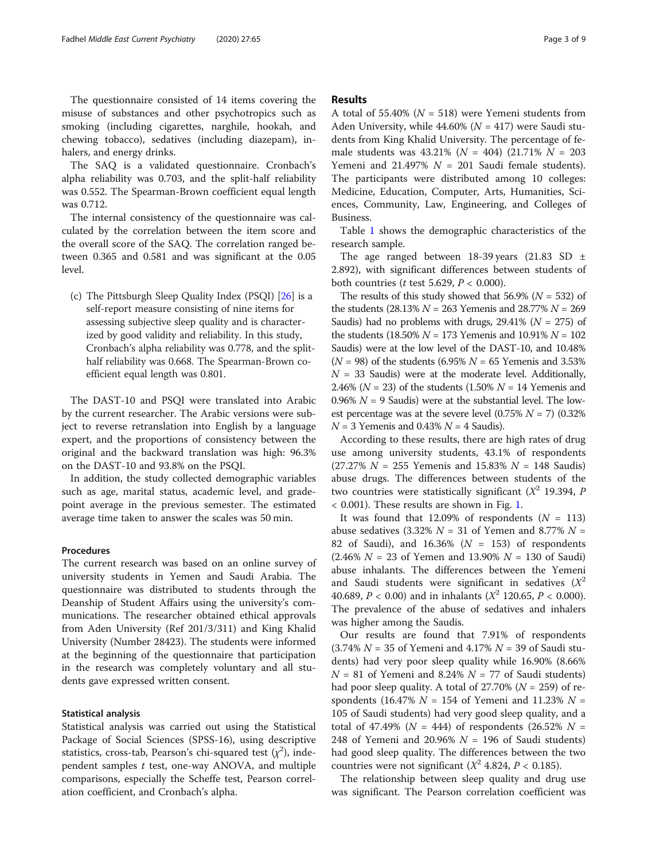The questionnaire consisted of 14 items covering the misuse of substances and other psychotropics such as smoking (including cigarettes, narghile, hookah, and chewing tobacco), sedatives (including diazepam), inhalers, and energy drinks.

The SAQ is a validated questionnaire. Cronbach's alpha reliability was 0.703, and the split-half reliability was 0.552. The Spearman-Brown coefficient equal length was 0.712.

The internal consistency of the questionnaire was calculated by the correlation between the item score and the overall score of the SAQ. The correlation ranged between 0.365 and 0.581 and was significant at the 0.05 level.

(c) The Pittsburgh Sleep Quality Index (PSQI) [\[26\]](#page-7-0) is a self-report measure consisting of nine items for assessing subjective sleep quality and is characterized by good validity and reliability. In this study, Cronbach's alpha reliability was 0.778, and the splithalf reliability was 0.668. The Spearman-Brown coefficient equal length was 0.801.

The DAST-10 and PSQI were translated into Arabic by the current researcher. The Arabic versions were subject to reverse retranslation into English by a language expert, and the proportions of consistency between the original and the backward translation was high: 96.3% on the DAST-10 and 93.8% on the PSQI.

In addition, the study collected demographic variables such as age, marital status, academic level, and gradepoint average in the previous semester. The estimated average time taken to answer the scales was 50 min.

#### Procedures

The current research was based on an online survey of university students in Yemen and Saudi Arabia. The questionnaire was distributed to students through the Deanship of Student Affairs using the university's communications. The researcher obtained ethical approvals from Aden University (Ref 201/3/311) and King Khalid University (Number 28423). The students were informed at the beginning of the questionnaire that participation in the research was completely voluntary and all students gave expressed written consent.

#### Statistical analysis

Statistical analysis was carried out using the Statistical Package of Social Sciences (SPSS-16), using descriptive statistics, cross-tab, Pearson's chi-squared test  $(\chi^2)$ , independent samples  $t$  test, one-way ANOVA, and multiple comparisons, especially the Scheffe test, Pearson correlation coefficient, and Cronbach's alpha.

#### Results

A total of 55.40% ( $N = 518$ ) were Yemeni students from Aden University, while  $44.60\%$  ( $N = 417$ ) were Saudi students from King Khalid University. The percentage of female students was  $43.21\%$  ( $N = 404$ ) (21.71%  $N = 203$ Yemeni and 21.497%  $N = 201$  Saudi female students). The participants were distributed among 10 colleges: Medicine, Education, Computer, Arts, Humanities, Sciences, Community, Law, Engineering, and Colleges of Business.

Table [1](#page-3-0) shows the demographic characteristics of the research sample.

The age ranged between 18-39 years (21.83 SD  $\pm$ 2.892), with significant differences between students of both countries (*t* test 5.629,  $P < 0.000$ ).

The results of this study showed that 56.9% ( $N = 532$ ) of the students (28.13%  $N = 263$  Yemenis and 28.77%  $N = 269$ Saudis) had no problems with drugs,  $29.41\%$  ( $N = 275$ ) of the students (18.50%  $N = 173$  Yemenis and 10.91%  $N = 102$ Saudis) were at the low level of the DAST-10, and 10.48%  $(N = 98)$  of the students (6.95%  $N = 65$  Yemenis and 3.53%  $N = 33$  Saudis) were at the moderate level. Additionally, 2.46% ( $N = 23$ ) of the students (1.50%  $N = 14$  Yemenis and 0.96%  $N = 9$  Saudis) were at the substantial level. The lowest percentage was at the severe level  $(0.75\% N = 7)$   $(0.32\%$  $N = 3$  Yemenis and 0.43%  $N = 4$  Saudis).

According to these results, there are high rates of drug use among university students, 43.1% of respondents  $(27.27\% N = 255$  Yemenis and 15.83%  $N = 148$  Saudis) abuse drugs. The differences between students of the two countries were statistically significant  $(X^2$  19.394, P < 0.001). These results are shown in Fig. [1.](#page-3-0)

It was found that 12.09% of respondents  $(N = 113)$ abuse sedatives (3.32%  $N = 31$  of Yemen and 8.77%  $N =$ 82 of Saudi), and  $16.36\%$  ( $N = 153$ ) of respondents  $(2.46\% N = 23$  of Yemen and 13.90%  $N = 130$  of Saudi) abuse inhalants. The differences between the Yemeni and Saudi students were significant in sedatives  $(X^2)$ 40.689,  $P < 0.00$ ) and in inhalants ( $X^2$  120.65,  $P < 0.000$ ). The prevalence of the abuse of sedatives and inhalers was higher among the Saudis.

Our results are found that 7.91% of respondents  $(3.74\% N = 35$  of Yemeni and  $4.17\% N = 39$  of Saudi students) had very poor sleep quality while 16.90% (8.66%  $N = 81$  of Yemeni and 8.24%  $N = 77$  of Saudi students) had poor sleep quality. A total of  $27.70\%$  ( $N = 259$ ) of respondents (16.47%  $N = 154$  of Yemeni and 11.23%  $N =$ 105 of Saudi students) had very good sleep quality, and a total of 47.49% ( $N = 444$ ) of respondents (26.52%  $N =$ 248 of Yemeni and 20.96%  $N = 196$  of Saudi students) had good sleep quality. The differences between the two countries were not significant ( $X^2$  4.824,  $P < 0.185$ ).

The relationship between sleep quality and drug use was significant. The Pearson correlation coefficient was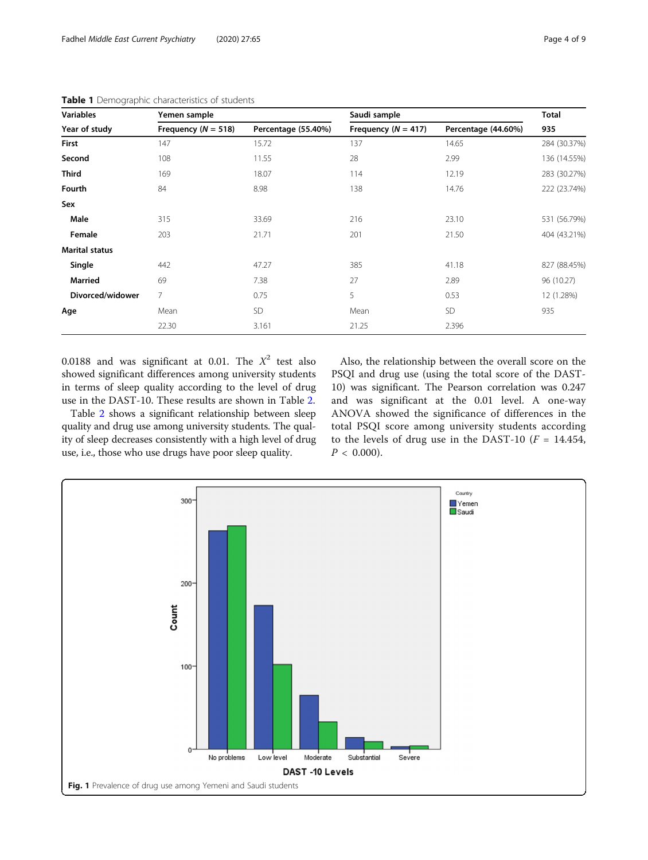| <b>Variables</b>      | Yemen sample            |                     | Saudi sample            | <b>Total</b>        |                     |  |
|-----------------------|-------------------------|---------------------|-------------------------|---------------------|---------------------|--|
| Year of study         | Frequency ( $N = 518$ ) | Percentage (55.40%) | Frequency ( $N = 417$ ) | Percentage (44.60%) | 935<br>284 (30.37%) |  |
| First                 | 147                     | 15.72               | 137                     | 14.65               |                     |  |
| Second                | 108                     | 11.55               | 28                      | 2.99                | 136 (14.55%)        |  |
| <b>Third</b>          | 169                     | 18.07               | 114                     | 12.19               | 283 (30.27%)        |  |
| Fourth                | 84                      | 8.98                | 138                     | 14.76               | 222 (23.74%)        |  |
| Sex                   |                         |                     |                         |                     |                     |  |
| Male                  | 315                     | 33.69               | 216                     | 23.10               | 531 (56.79%)        |  |
| Female                | 203                     | 21.71               | 201                     | 21.50               | 404 (43.21%)        |  |
| <b>Marital status</b> |                         |                     |                         |                     |                     |  |
| Single                | 442                     | 47.27               | 385                     | 41.18               | 827 (88.45%)        |  |
| <b>Married</b>        | 69                      | 7.38                | 27                      | 2.89                | 96 (10.27)          |  |
| Divorced/widower      | $\overline{7}$          | 0.75                | 5                       | 0.53                | 12 (1.28%)          |  |
| Age                   | Mean                    | <b>SD</b>           | Mean                    | <b>SD</b>           | 935                 |  |
|                       | 22.30                   | 3.161               | 21.25                   | 2.396               |                     |  |

<span id="page-3-0"></span>Table 1 Demographic characteristics of students

0.0188 and was significant at 0.01. The  $X^2$  test also showed significant differences among university students in terms of sleep quality according to the level of drug use in the DAST-10. These results are shown in Table [2.](#page-4-0)

Table [2](#page-4-0) shows a significant relationship between sleep quality and drug use among university students. The quality of sleep decreases consistently with a high level of drug use, i.e., those who use drugs have poor sleep quality.

Also, the relationship between the overall score on the PSQI and drug use (using the total score of the DAST-10) was significant. The Pearson correlation was 0.247 and was significant at the 0.01 level. A one-way ANOVA showed the significance of differences in the total PSQI score among university students according to the levels of drug use in the DAST-10 ( $F = 14.454$ ,  $P < 0.000$ ).

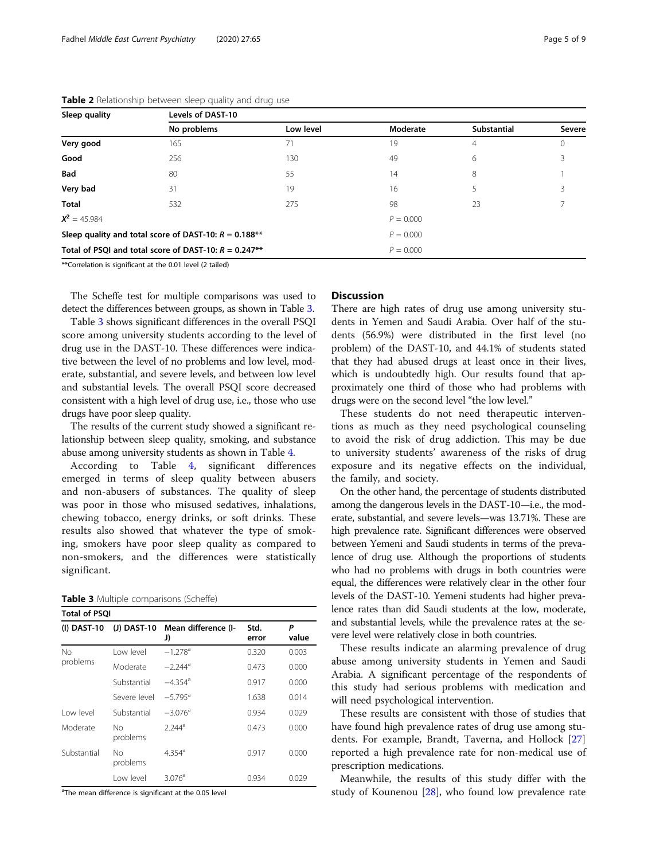| Sleep quality  | Levels of DAST-10                                       |             |             |                    |               |  |  |  |
|----------------|---------------------------------------------------------|-------------|-------------|--------------------|---------------|--|--|--|
|                | No problems                                             | Low level   | Moderate    | <b>Substantial</b> | <b>Severe</b> |  |  |  |
| Very good      | 165                                                     | 71          | 19          | 4                  | $\Omega$      |  |  |  |
| Good           | 256                                                     | 130         | 49          | 6                  |               |  |  |  |
| <b>Bad</b>     | 80                                                      | 55          | 14          | 8                  |               |  |  |  |
| Very bad       | 31                                                      | 19          | 16          | 5                  |               |  |  |  |
| <b>Total</b>   | 532                                                     | 275         | 98          | 23                 |               |  |  |  |
| $X^2 = 45.984$ |                                                         |             | $P = 0.000$ |                    |               |  |  |  |
|                | Sleep quality and total score of DAST-10: $R = 0.188**$ | $P = 0.000$ |             |                    |               |  |  |  |
|                | Total of PSQI and total score of DAST-10: $R = 0.247**$ | $P = 0.000$ |             |                    |               |  |  |  |

#### <span id="page-4-0"></span>Table 2 Relationship between sleep quality and drug use

\*\*Correlation is significant at the 0.01 level (2 tailed)

The Scheffe test for multiple comparisons was used to detect the differences between groups, as shown in Table 3.

Table 3 shows significant differences in the overall PSQI score among university students according to the level of drug use in the DAST-10. These differences were indicative between the level of no problems and low level, moderate, substantial, and severe levels, and between low level and substantial levels. The overall PSQI score decreased consistent with a high level of drug use, i.e., those who use drugs have poor sleep quality.

The results of the current study showed a significant relationship between sleep quality, smoking, and substance abuse among university students as shown in Table [4](#page-5-0).

According to Table [4](#page-5-0), significant differences emerged in terms of sleep quality between abusers and non-abusers of substances. The quality of sleep was poor in those who misused sedatives, inhalations, chewing tobacco, energy drinks, or soft drinks. These results also showed that whatever the type of smoking, smokers have poor sleep quality as compared to non-smokers, and the differences were statistically significant.

#### Table 3 Multiple comparisons (Scheffe)

| <b>Total of PSOI</b> |                |                           |               |            |  |  |  |
|----------------------|----------------|---------------------------|---------------|------------|--|--|--|
| $(I)$ DAST-10        | (J) DAST-10    | Mean difference (I-<br>J) | Std.<br>error | Ρ<br>value |  |  |  |
| No<br>problems       | I ow level     | $-1.278$ <sup>a</sup>     | 0.320         | 0.003      |  |  |  |
|                      | Moderate       | $-2.244$ <sup>a</sup>     | 0.473         | 0.000      |  |  |  |
|                      | Substantial    | $-4.354$ <sup>a</sup>     | 0.917         | 0.000      |  |  |  |
|                      | Severe level   | $-5.795$ <sup>a</sup>     | 1.638         | 0.014      |  |  |  |
| I ow level           | Substantial    | $-3.076$ <sup>a</sup>     | 0.934         | 0.029      |  |  |  |
| Moderate             | No<br>problems | $2.244^a$                 | 0.473         | 0.000      |  |  |  |
| Substantial          | Nο<br>problems | $4.354$ <sup>a</sup>      | 0.917         | 0.000      |  |  |  |
|                      | I ow level     | 3.076 <sup>a</sup>        | 0.934         | 0.029      |  |  |  |

<sup>a</sup>The mean difference is significant at the 0.05 level

#### **Discussion**

There are high rates of drug use among university students in Yemen and Saudi Arabia. Over half of the students (56.9%) were distributed in the first level (no problem) of the DAST-10, and 44.1% of students stated that they had abused drugs at least once in their lives, which is undoubtedly high. Our results found that approximately one third of those who had problems with drugs were on the second level "the low level."

These students do not need therapeutic interventions as much as they need psychological counseling to avoid the risk of drug addiction. This may be due to university students' awareness of the risks of drug exposure and its negative effects on the individual, the family, and society.

On the other hand, the percentage of students distributed among the dangerous levels in the DAST-10—i.e., the moderate, substantial, and severe levels—was 13.71%. These are high prevalence rate. Significant differences were observed between Yemeni and Saudi students in terms of the prevalence of drug use. Although the proportions of students who had no problems with drugs in both countries were equal, the differences were relatively clear in the other four levels of the DAST-10. Yemeni students had higher prevalence rates than did Saudi students at the low, moderate, and substantial levels, while the prevalence rates at the severe level were relatively close in both countries.

These results indicate an alarming prevalence of drug abuse among university students in Yemen and Saudi Arabia. A significant percentage of the respondents of this study had serious problems with medication and will need psychological intervention.

These results are consistent with those of studies that have found high prevalence rates of drug use among students. For example, Brandt, Taverna, and Hollock [[27](#page-7-0)] reported a high prevalence rate for non-medical use of prescription medications.

Meanwhile, the results of this study differ with the study of Kounenou [[28\]](#page-7-0), who found low prevalence rate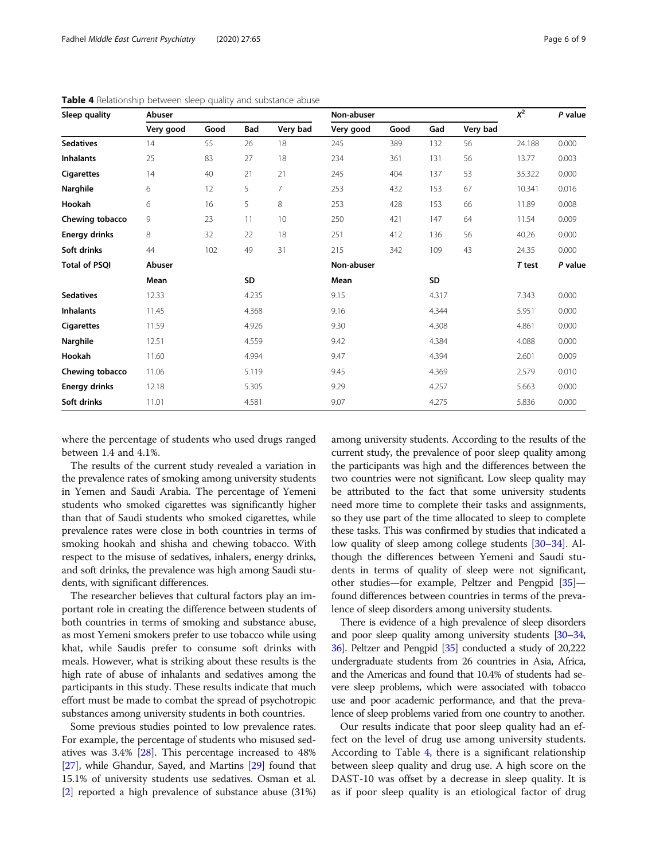| Sleep quality        | Abuser    |      |       | Non-abuser |            |      |           | $X^2$    | P value |         |
|----------------------|-----------|------|-------|------------|------------|------|-----------|----------|---------|---------|
|                      | Very good | Good | Bad   | Very bad   | Very good  | Good | Gad       | Very bad |         |         |
| <b>Sedatives</b>     | 14        | 55   | 26    | 18         | 245        | 389  | 132       | 56       | 24.188  | 0.000   |
| <b>Inhalants</b>     | 25        | 83   | 27    | 18         | 234        | 361  | 131       | 56       | 13.77   | 0.003   |
| <b>Cigarettes</b>    | 14        | 40   | 21    | 21         | 245        | 404  | 137       | 53       | 35.322  | 0.000   |
| Narghile             | 6         | 12   | 5     | 7          | 253        | 432  | 153       | 67       | 10.341  | 0.016   |
| Hookah               | 6         | 16   | 5     | 8          | 253        | 428  | 153       | 66       | 11.89   | 0.008   |
| Chewing tobacco      | 9         | 23   | 11    | 10         | 250        | 421  | 147       | 64       | 11.54   | 0.009   |
| <b>Energy drinks</b> | 8         | 32   | 22    | 18         | 251        | 412  | 136       | 56       | 40.26   | 0.000   |
| Soft drinks          | 44        | 102  | 49    | 31         | 215        | 342  | 109       | 43       | 24.35   | 0.000   |
| <b>Total of PSQI</b> | Abuser    |      |       |            | Non-abuser |      |           |          | T test  | P value |
|                      | Mean      |      | SD    |            | Mean       |      | <b>SD</b> |          |         |         |
| <b>Sedatives</b>     | 12.33     |      | 4.235 |            | 9.15       |      | 4.317     |          | 7.343   | 0.000   |
| <b>Inhalants</b>     | 11.45     |      | 4.368 |            | 9.16       |      | 4.344     |          | 5.951   | 0.000   |
| <b>Cigarettes</b>    | 11.59     |      | 4.926 |            | 9.30       |      | 4.308     |          | 4.861   | 0.000   |
| Narghile             | 12.51     |      | 4.559 |            | 9.42       |      | 4.384     |          | 4.088   | 0.000   |
| Hookah               | 11.60     |      | 4.994 |            | 9.47       |      | 4.394     |          | 2.601   | 0.009   |
| Chewing tobacco      | 11.06     |      | 5.119 |            | 9.45       |      | 4.369     |          | 2.579   | 0.010   |
| <b>Energy drinks</b> | 12.18     |      | 5.305 |            | 9.29       |      | 4.257     |          | 5.663   | 0.000   |
| Soft drinks          | 11.01     |      | 4.581 |            | 9.07       |      | 4.275     |          | 5.836   | 0.000   |

<span id="page-5-0"></span>Table 4 Relationship between sleep quality and substance abuse

where the percentage of students who used drugs ranged between 1.4 and 4.1%.

The results of the current study revealed a variation in the prevalence rates of smoking among university students in Yemen and Saudi Arabia. The percentage of Yemeni students who smoked cigarettes was significantly higher than that of Saudi students who smoked cigarettes, while prevalence rates were close in both countries in terms of smoking hookah and shisha and chewing tobacco. With respect to the misuse of sedatives, inhalers, energy drinks, and soft drinks, the prevalence was high among Saudi students, with significant differences.

The researcher believes that cultural factors play an important role in creating the difference between students of both countries in terms of smoking and substance abuse, as most Yemeni smokers prefer to use tobacco while using khat, while Saudis prefer to consume soft drinks with meals. However, what is striking about these results is the high rate of abuse of inhalants and sedatives among the participants in this study. These results indicate that much effort must be made to combat the spread of psychotropic substances among university students in both countries.

Some previous studies pointed to low prevalence rates. For example, the percentage of students who misused sedatives was 3.4% [\[28\]](#page-7-0). This percentage increased to 48% [[27](#page-7-0)], while Ghandur, Sayed, and Martins [\[29\]](#page-7-0) found that 15.1% of university students use sedatives. Osman et al. [[2\]](#page-7-0) reported a high prevalence of substance abuse (31%) among university students. According to the results of the current study, the prevalence of poor sleep quality among the participants was high and the differences between the two countries were not significant. Low sleep quality may be attributed to the fact that some university students need more time to complete their tasks and assignments, so they use part of the time allocated to sleep to complete these tasks. This was confirmed by studies that indicated a low quality of sleep among college students [[30](#page-7-0)–[34\]](#page-7-0). Although the differences between Yemeni and Saudi students in terms of quality of sleep were not significant, other studies—for example, Peltzer and Pengpid [[35\]](#page-7-0) found differences between countries in terms of the prevalence of sleep disorders among university students.

There is evidence of a high prevalence of sleep disorders and poor sleep quality among university students [\[30](#page-7-0)–[34](#page-7-0), [36](#page-7-0)]. Peltzer and Pengpid [\[35](#page-7-0)] conducted a study of 20,222 undergraduate students from 26 countries in Asia, Africa, and the Americas and found that 10.4% of students had severe sleep problems, which were associated with tobacco use and poor academic performance, and that the prevalence of sleep problems varied from one country to another.

Our results indicate that poor sleep quality had an effect on the level of drug use among university students. According to Table 4, there is a significant relationship between sleep quality and drug use. A high score on the DAST-10 was offset by a decrease in sleep quality. It is as if poor sleep quality is an etiological factor of drug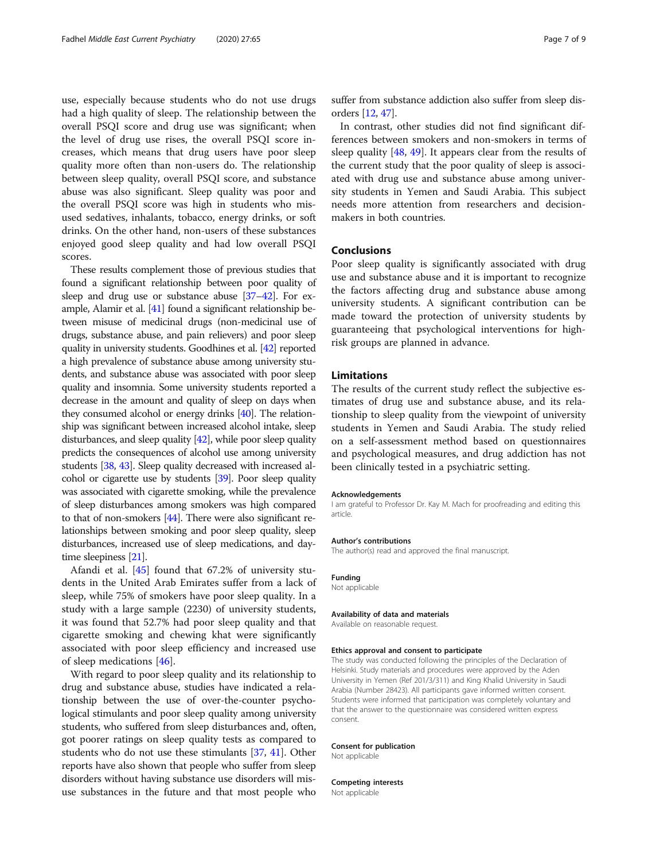use, especially because students who do not use drugs had a high quality of sleep. The relationship between the overall PSQI score and drug use was significant; when the level of drug use rises, the overall PSQI score increases, which means that drug users have poor sleep quality more often than non-users do. The relationship between sleep quality, overall PSQI score, and substance abuse was also significant. Sleep quality was poor and the overall PSQI score was high in students who misused sedatives, inhalants, tobacco, energy drinks, or soft drinks. On the other hand, non-users of these substances enjoyed good sleep quality and had low overall PSQI scores.

These results complement those of previous studies that found a significant relationship between poor quality of sleep and drug use or substance abuse [\[37](#page-7-0)–[42\]](#page-8-0). For example, Alamir et al. [\[41\]](#page-7-0) found a significant relationship between misuse of medicinal drugs (non-medicinal use of drugs, substance abuse, and pain relievers) and poor sleep quality in university students. Goodhines et al. [\[42](#page-8-0)] reported a high prevalence of substance abuse among university students, and substance abuse was associated with poor sleep quality and insomnia. Some university students reported a decrease in the amount and quality of sleep on days when they consumed alcohol or energy drinks [\[40\]](#page-7-0). The relationship was significant between increased alcohol intake, sleep disturbances, and sleep quality [\[42](#page-8-0)], while poor sleep quality predicts the consequences of alcohol use among university students [\[38,](#page-7-0) [43](#page-8-0)]. Sleep quality decreased with increased alcohol or cigarette use by students [\[39\]](#page-7-0). Poor sleep quality was associated with cigarette smoking, while the prevalence of sleep disturbances among smokers was high compared to that of non-smokers [\[44\]](#page-8-0). There were also significant relationships between smoking and poor sleep quality, sleep disturbances, increased use of sleep medications, and daytime sleepiness [\[21](#page-7-0)].

Afandi et al. [[45\]](#page-8-0) found that 67.2% of university students in the United Arab Emirates suffer from a lack of sleep, while 75% of smokers have poor sleep quality. In a study with a large sample (2230) of university students, it was found that 52.7% had poor sleep quality and that cigarette smoking and chewing khat were significantly associated with poor sleep efficiency and increased use of sleep medications [\[46](#page-8-0)].

With regard to poor sleep quality and its relationship to drug and substance abuse, studies have indicated a relationship between the use of over-the-counter psychological stimulants and poor sleep quality among university students, who suffered from sleep disturbances and, often, got poorer ratings on sleep quality tests as compared to students who do not use these stimulants [\[37,](#page-7-0) [41](#page-7-0)]. Other reports have also shown that people who suffer from sleep disorders without having substance use disorders will misuse substances in the future and that most people who suffer from substance addiction also suffer from sleep disorders [[12](#page-7-0), [47\]](#page-8-0).

In contrast, other studies did not find significant differences between smokers and non-smokers in terms of sleep quality [\[48,](#page-8-0) [49](#page-8-0)]. It appears clear from the results of the current study that the poor quality of sleep is associated with drug use and substance abuse among university students in Yemen and Saudi Arabia. This subject needs more attention from researchers and decisionmakers in both countries.

#### Conclusions

Poor sleep quality is significantly associated with drug use and substance abuse and it is important to recognize the factors affecting drug and substance abuse among university students. A significant contribution can be made toward the protection of university students by guaranteeing that psychological interventions for highrisk groups are planned in advance.

#### Limitations

The results of the current study reflect the subjective estimates of drug use and substance abuse, and its relationship to sleep quality from the viewpoint of university students in Yemen and Saudi Arabia. The study relied on a self-assessment method based on questionnaires and psychological measures, and drug addiction has not been clinically tested in a psychiatric setting.

#### Acknowledgements

I am grateful to Professor Dr. Kay M. Mach for proofreading and editing this article.

#### Author's contributions

The author(s) read and approved the final manuscript.

#### Funding

Not applicable

#### Availability of data and materials

Available on reasonable request.

#### Ethics approval and consent to participate

The study was conducted following the principles of the Declaration of Helsinki. Study materials and procedures were approved by the Aden University in Yemen (Ref 201/3/311) and King Khalid University in Saudi Arabia (Number 28423). All participants gave informed written consent. Students were informed that participation was completely voluntary and that the answer to the questionnaire was considered written express consent.

#### Consent for publication

Not applicable

Competing interests Not applicable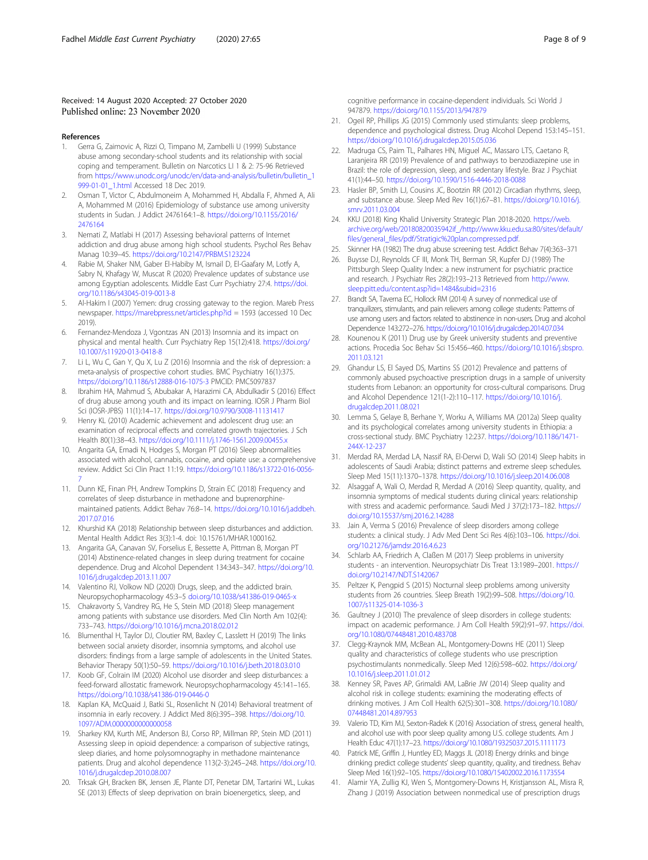#### <span id="page-7-0"></span>Received: 14 August 2020 Accepted: 27 October 2020 Published online: 23 November 2020

#### References

- 1. Gerra G, Zaimovic A, Rizzi O, Timpano M, Zambelli U (1999) Substance abuse among secondary-school students and its relationship with social coping and temperament. Bulletin on Narcotics LI 1 & 2: 75-96 Retrieved from [https://www.unodc.org/unodc/en/data-and-analysis/bulletin/bulletin\\_1](https://www.unodc.org/unodc/en/data-and-analysis/bulletin/bulletin_1999-01-01_1.html) 999-01-01 1.html Accessed 18 Dec 2019.
- 2. Osman T, Victor C, Abdulmoneim A, Mohammed H, Abdalla F, Ahmed A, Ali A, Mohammed M (2016) Epidemiology of substance use among university students in Sudan. J Addict 2476164:1–8. [https://doi.org/10.1155/2016/](https://doi.org/10.1155/2016/2476164) [2476164](https://doi.org/10.1155/2016/2476164)
- 3. Nemati Z, Matlabi H (2017) Assessing behavioral patterns of Internet addiction and drug abuse among high school students. Psychol Res Behav Manag 10:39–45. <https://doi.org/10.2147/PRBM.S123224>
- 4. Rabie M, Shaker NM, Gaber El-Habiby M, Ismail D, El-Gaafary M, Lotfy A, Sabry N, Khafagy W, Muscat R (2020) Prevalence updates of substance use among Egyptian adolescents. Middle East Curr Psychiatry 27:4. [https://doi.](https://doi.org/10.1186/s43045-019-0013-8) [org/10.1186/s43045-019-0013-8](https://doi.org/10.1186/s43045-019-0013-8)
- 5. Al-Hakim I (2007) Yemen: drug crossing gateway to the region. Mareb Press newspaper. <https://marebpress.net/articles.php?id> = 1593 (accessed 10 Dec 2019).
- 6. Fernandez-Mendoza J, Vgontzas AN (2013) Insomnia and its impact on physical and mental health. Curr Psychiatry Rep 15(12):418. [https://doi.org/](https://doi.org/10.1007/s11920-013-0418-8) [10.1007/s11920-013-0418-8](https://doi.org/10.1007/s11920-013-0418-8)
- 7. Li L, Wu C, Gan Y, Qu X, Lu Z (2016) Insomnia and the risk of depression: a meta-analysis of prospective cohort studies. BMC Psychiatry 16(1):375. <https://doi.org/10.1186/s12888-016-1075-3> PMCID: PMC5097837
- 8. Ibrahim HA, Mahmud S, Abubakar A, Harazimi CA, Abdulkadir S (2016) Effect of drug abuse among youth and its impact on learning. IOSR J Pharm Biol Sci (IOSR-JPBS) 11(1):14–17. <https://doi.org/10.9790/3008-11131417>
- Henry KL (2010) Academic achievement and adolescent drug use: an examination of reciprocal effects and correlated growth trajectories. J Sch Health 80(1):38–43. <https://doi.org/10.1111/j.1746-1561.2009.00455.x>
- 10. Angarita GA, Emadi N, Hodges S, Morgan PT (2016) Sleep abnormalities associated with alcohol, cannabis, cocaine, and opiate use: a comprehensive review. Addict Sci Clin Pract 11:19. [https://doi.org/10.1186/s13722-016-0056-](https://doi.org/10.1186/s13722-016-0056-7) [7](https://doi.org/10.1186/s13722-016-0056-7)
- 11. Dunn KE, Finan PH, Andrew Tompkins D, Strain EC (2018) Frequency and correlates of sleep disturbance in methadone and buprenorphinemaintained patients. Addict Behav 76:8–14. [https://doi.org/10.1016/j.addbeh.](https://doi.org/10.1016/j.addbeh.2017.07.016) [2017.07.016](https://doi.org/10.1016/j.addbeh.2017.07.016)
- 12. Khurshid KA (2018) Relationship between sleep disturbances and addiction. Mental Health Addict Res 3(3):1-4. doi: 10.15761/MHAR.1000162.
- 13. Angarita GA, Canavan SV, Forselius E, Bessette A, Pittman B, Morgan PT (2014) Abstinence-related changes in sleep during treatment for cocaine dependence. Drug and Alcohol Dependent 134:343–347. [https://doi.org/10.](https://doi.org/10.1016/j.drugalcdep.2013.11.007) [1016/j.drugalcdep.2013.11.007](https://doi.org/10.1016/j.drugalcdep.2013.11.007)
- 14. Valentino RJ, Volkow ND (2020) Drugs, sleep, and the addicted brain. Neuropsychopharmacology 45:3–5 [doi.org/10.1038/s41386-019-0465-x](http://doi.org/10.1038/s41386-019-0465-x)
- 15. Chakravorty S, Vandrey RG, He S, Stein MD (2018) Sleep management among patients with substance use disorders. Med Clin North Am 102(4): 733–743. <https://doi.org/10.1016/j.mcna.2018.02.012>
- 16. Blumenthal H, Taylor DJ, Cloutier RM, Baxley C, Lasslett H (2019) The links between social anxiety disorder, insomnia symptoms, and alcohol use disorders: findings from a large sample of adolescents in the United States. Behavior Therapy 50(1):50–59. <https://doi.org/10.1016/j.beth.2018.03.010>
- 17. Koob GF, Colrain IM (2020) Alcohol use disorder and sleep disturbances: a feed-forward allostatic framework. Neuropsychopharmacology 45:141–165. <https://doi.org/10.1038/s41386-019-0446-0>
- 18. Kaplan KA, McQuaid J, Batki SL, Rosenlicht N (2014) Behavioral treatment of insomnia in early recovery. J Addict Med 8(6):395–398. [https://doi.org/10.](https://doi.org/10.1097/ADM.0000000000000058) [1097/ADM.0000000000000058](https://doi.org/10.1097/ADM.0000000000000058)
- 19. Sharkey KM, Kurth ME, Anderson BJ, Corso RP, Millman RP, Stein MD (2011) Assessing sleep in opioid dependence: a comparison of subjective ratings, sleep diaries, and home polysomnography in methadone maintenance patients. Drug and alcohol dependence 113(2-3):245–248. [https://doi.org/10.](https://doi.org/10.1016/j.drugalcdep.2010.08.007) [1016/j.drugalcdep.2010.08.007](https://doi.org/10.1016/j.drugalcdep.2010.08.007)
- 20. Trksak GH, Bracken BK, Jensen JE, Plante DT, Penetar DM, Tartarini WL, Lukas SE (2013) Effects of sleep deprivation on brain bioenergetics, sleep, and

cognitive performance in cocaine-dependent individuals. Sci World J 947879. <https://doi.org/10.1155/2013/947879>

- 21. Ogeil RP, Phillips JG (2015) Commonly used stimulants: sleep problems, dependence and psychological distress. Drug Alcohol Depend 153:145–151. <https://doi.org/10.1016/j.drugalcdep.2015.05.036>
- 22. Madruga CS, Paim TL, Palhares HN, Miguel AC, Massaro LTS, Caetano R, Laranjeira RR (2019) Prevalence of and pathways to benzodiazepine use in Brazil: the role of depression, sleep, and sedentary lifestyle. Braz J Psychiat 41(1):44–50. <https://doi.org/10.1590/1516-4446-2018-0088>
- 23. Hasler BP, Smith LJ, Cousins JC, Bootzin RR (2012) Circadian rhythms, sleep, and substance abuse. Sleep Med Rev 16(1):67–81. [https://doi.org/10.1016/j.](https://doi.org/10.1016/j.smrv.2011.03.004) [smrv.2011.03.004](https://doi.org/10.1016/j.smrv.2011.03.004)
- 24. KKU (2018) King Khalid University Strategic Plan 2018-2020. [https://web.](https://web.archive.org/web/20180820035942if_/http://www.kku.edu.sa:80/sites/default/files/general_files/pdf/Stratigic%20plan.compressed.pdf) [archive.org/web/20180820035942if\\_/http://www.kku.edu.sa:80/sites/default/](https://web.archive.org/web/20180820035942if_/http://www.kku.edu.sa:80/sites/default/files/general_files/pdf/Stratigic%20plan.compressed.pdf) [files/general\\_files/pdf/Stratigic%20plan.compressed.pdf.](https://web.archive.org/web/20180820035942if_/http://www.kku.edu.sa:80/sites/default/files/general_files/pdf/Stratigic%20plan.compressed.pdf)
- 25. Skinner HA (1982) The drug abuse screening test. Addict Behav 7(4):363–371
- 26. Buysse DJ, Reynolds CF III, Monk TH, Berman SR, Kupfer DJ (1989) The Pittsburgh Sleep Quality Index: a new instrument for psychiatric practice and research. J Psychiatr Res 28(2):193–213 Retrieved from [http://www.](http://www.sleep.pitt.edu/content.asp?id=1484&subid=2316) [sleep.pitt.edu/content.asp?id=1484&subid=2316](http://www.sleep.pitt.edu/content.asp?id=1484&subid=2316)
- 27. Brandt SA, Taverna EC, Hollock RM (2014) A survey of nonmedical use of tranquilizers, stimulants, and pain relievers among college students: Patterns of use among users and factors related to abstinence in non-users. Drug and alcohol Dependence 143:272–276. <https://doi.org/10.1016/j.drugalcdep.2014.07.034>
- 28. Kounenou K (2011) Drug use by Greek university students and preventive actions. Procedia Soc Behav Sci 15:456–460. [https://doi.org/10.1016/j.sbspro.](https://doi.org/10.1016/j.sbspro.2011.03.121) [2011.03.121](https://doi.org/10.1016/j.sbspro.2011.03.121)
- 29. Ghandur LS, El Sayed DS, Martins SS (2012) Prevalence and patterns of commonly abused psychoactive prescription drugs in a sample of university students from Lebanon: an opportunity for cross-cultural comparisons. Drug and Alcohol Dependence 121(1-2):110–117. [https://doi.org/10.1016/j.](https://doi.org/10.1016/j.drugalcdep.2011.08.021) [drugalcdep.2011.08.021](https://doi.org/10.1016/j.drugalcdep.2011.08.021)
- 30. Lemma S, Gelaye B, Berhane Y, Worku A, Williams MA (2012a) Sleep quality and its psychological correlates among university students in Ethiopia: a cross-sectional study. BMC Psychiatry 12:237. [https://doi.org/10.1186/1471-](https://doi.org/10.1186/1471-244X-12-237) [244X-12-237](https://doi.org/10.1186/1471-244X-12-237)
- 31. Merdad RA, Merdad LA, Nassif RA, El-Derwi D, Wali SO (2014) Sleep habits in adolescents of Saudi Arabia; distinct patterns and extreme sleep schedules. Sleep Med 15(11):1370–1378. <https://doi.org/10.1016/j.sleep.2014.06.008>
- 32. Alsaggaf A, Wali O, Merdad R, Merdad A (2016) Sleep quantity, quality, and insomnia symptoms of medical students during clinical years: relationship with stress and academic performance. Saudi Med J 37(2):173–182. [https://](https://doi.org/10.15537/smj.2016.2.14288) [doi.org/10.15537/smj.2016.2.14288](https://doi.org/10.15537/smj.2016.2.14288)
- 33. Jain A, Verma S (2016) Prevalence of sleep disorders among college students: a clinical study. J Adv Med Dent Sci Res 4(6):103–106. [https://doi.](https://doi.org/10.21276/jamdsr.2016.4.6.23) [org/10.21276/jamdsr.2016.4.6.23](https://doi.org/10.21276/jamdsr.2016.4.6.23)
- 34. Schlarb AA, Friedrich A, Claßen M (2017) Sleep problems in university students - an intervention. Neuropsychiatr Dis Treat 13:1989–2001. [https://](https://doi.org/10.2147/NDT.S142067) [doi.org/10.2147/NDT.S142067](https://doi.org/10.2147/NDT.S142067)
- 35. Peltzer K, Pengpid S (2015) Nocturnal sleep problems among university students from 26 countries. Sleep Breath 19(2):99–508. [https://doi.org/10.](https://doi.org/10.1007/s11325-014-1036-3) [1007/s11325-014-1036-3](https://doi.org/10.1007/s11325-014-1036-3)
- 36. Gaultney J (2010) The prevalence of sleep disorders in college students: impact on academic performance. J Am Coll Health 59(2):91–97. [https://doi.](https://doi.org/10.1080/07448481.2010.483708) [org/10.1080/07448481.2010.483708](https://doi.org/10.1080/07448481.2010.483708)
- 37. Clegg-Kraynok MM, McBean AL, Montgomery-Downs HE (2011) Sleep quality and characteristics of college students who use prescription psychostimulants nonmedically. Sleep Med 12(6):598–602. [https://doi.org/](https://doi.org/10.1016/j.sleep.2011.01.012) [10.1016/j.sleep.2011.01.012](https://doi.org/10.1016/j.sleep.2011.01.012)
- 38. Kenney SR, Paves AP, Grimaldi AM, LaBrie JW (2014) Sleep quality and alcohol risk in college students: examining the moderating effects of drinking motives. J Am Coll Health 62(5):301–308. [https://doi.org/10.1080/](https://doi.org/10.1080/07448481.2014.897953) [07448481.2014.897953](https://doi.org/10.1080/07448481.2014.897953)
- 39. Valerio TD, Kim MJ, Sexton-Radek K (2016) Association of stress, general health, and alcohol use with poor sleep quality among U.S. college students. Am J Health Educ 47(1):17–23. <https://doi.org/10.1080/19325037.2015.1111173>
- 40. Patrick ME, Griffin J, Huntley ED, Maggs JL (2018) Energy drinks and binge drinking predict college students' sleep quantity, quality, and tiredness. Behav Sleep Med 16(1):92–105. <https://doi.org/10.1080/15402002.2016.1173554>
- 41. Alamir YA, Zullig KJ, Wen S, Montgomery-Downs H, Kristjansson AL, Misra R, Zhang J (2019) Association between nonmedical use of prescription drugs